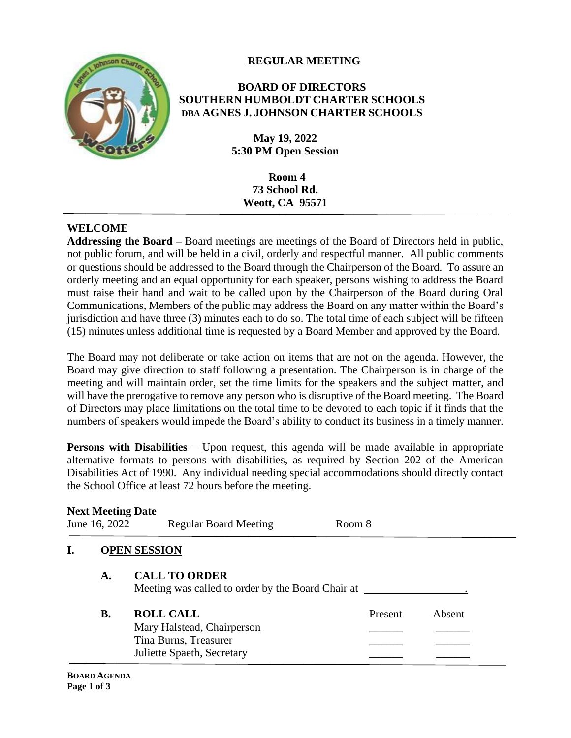## **REGULAR MEETING**



#### **BOARD OF DIRECTORS SOUTHERN HUMBOLDT CHARTER SCHOOLS DBA AGNES J. JOHNSON CHARTER SCHOOLS**

**May 19, 2022 5:30 PM Open Session**

> **Room 4 73 School Rd. Weott, CA 95571**

#### **WELCOME**

**Addressing the Board –** Board meetings are meetings of the Board of Directors held in public, not public forum, and will be held in a civil, orderly and respectful manner. All public comments or questions should be addressed to the Board through the Chairperson of the Board. To assure an orderly meeting and an equal opportunity for each speaker, persons wishing to address the Board must raise their hand and wait to be called upon by the Chairperson of the Board during Oral Communications, Members of the public may address the Board on any matter within the Board's jurisdiction and have three (3) minutes each to do so. The total time of each subject will be fifteen (15) minutes unless additional time is requested by a Board Member and approved by the Board.

The Board may not deliberate or take action on items that are not on the agenda. However, the Board may give direction to staff following a presentation. The Chairperson is in charge of the meeting and will maintain order, set the time limits for the speakers and the subject matter, and will have the prerogative to remove any person who is disruptive of the Board meeting. The Board of Directors may place limitations on the total time to be devoted to each topic if it finds that the numbers of speakers would impede the Board's ability to conduct its business in a timely manner.

**Persons with Disabilities** – Upon request, this agenda will be made available in appropriate alternative formats to persons with disabilities, as required by Section 202 of the American Disabilities Act of 1990. Any individual needing special accommodations should directly contact the School Office at least 72 hours before the meeting.

| <b>Next Meeting Date</b><br>June 16, 2022 |           | <b>Regular Board Meeting</b><br>Room 8                                           |         |        |
|-------------------------------------------|-----------|----------------------------------------------------------------------------------|---------|--------|
|                                           |           | <b>OPEN SESSION</b>                                                              |         |        |
|                                           | A.        | <b>CALL TO ORDER</b><br>Meeting was called to order by the Board Chair at ______ |         |        |
|                                           | <b>B.</b> | <b>ROLL CALL</b><br>Mary Halstead, Chairperson                                   | Present | Absent |
|                                           |           | Tina Burns, Treasurer<br>Juliette Spaeth, Secretary                              |         |        |

#### **BOARD AGENDA Page 1 of 3**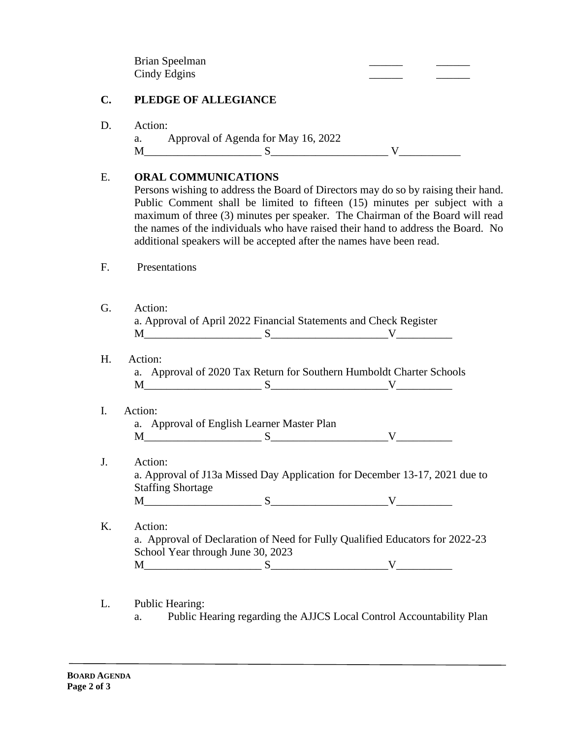Brian Speelman Cindy Edgins

## **C. PLEDGE OF ALLEGIANCE**

D. Action:

a. Approval of Agenda for May 16, 2022  $M$  is the set of  $S$  is the set of  $N$  is the set of  $S$  is the set of  $N$ 

# E. **ORAL COMMUNICATIONS**

Persons wishing to address the Board of Directors may do so by raising their hand. Public Comment shall be limited to fifteen (15) minutes per subject with a maximum of three (3) minutes per speaker. The Chairman of the Board will read the names of the individuals who have raised their hand to address the Board. No additional speakers will be accepted after the names have been read.

- F. Presentations
- G. Action: a. Approval of April 2022 Financial Statements and Check Register  $M$  s s v
- H. Action:

a. Approval of 2020 Tax Return for Southern Humboldt Charter Schools  $M$  s s v

I. Action:

a. Approval of English Learner Master Plan  $M$   $S$   $V$ 

- J. Action: a. Approval of J13a Missed Day Application for December 13-17, 2021 due to Staffing Shortage  $M$   $S$   $V$
- K. Action: a. Approval of Declaration of Need for Fully Qualified Educators for 2022-23 School Year through June 30, 2023  $M$   $S$   $N$   $V$   $N$
- L. Public Hearing:
	- a. Public Hearing regarding the AJJCS Local Control Accountability Plan